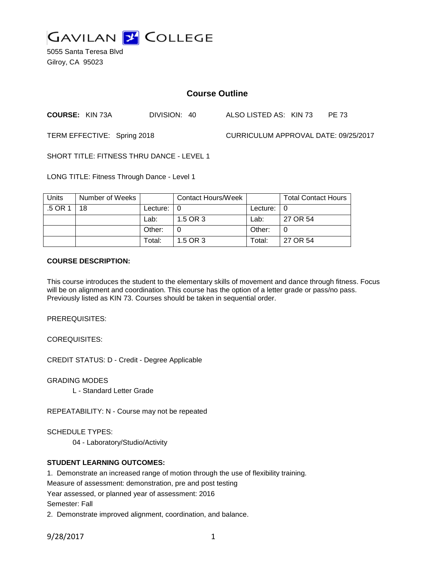

5055 Santa Teresa Blvd Gilroy, CA 95023

# **Course Outline**

**COURSE:** KIN 73A DIVISION: 40 ALSO LISTED AS: KIN 73 PE 73

TERM EFFECTIVE: Spring 2018 CURRICULUM APPROVAL DATE: 09/25/2017

SHORT TITLE: FITNESS THRU DANCE - LEVEL 1

LONG TITLE: Fitness Through Dance - Level 1

| <b>Units</b> | Number of Weeks |               | <b>Contact Hours/Week</b> |                            | <b>Total Contact Hours</b> |
|--------------|-----------------|---------------|---------------------------|----------------------------|----------------------------|
| .5 OR 1      | 18              | Lecture: $ 0$ |                           | Lecture: $\vert 0 \rangle$ |                            |
|              |                 | Lab:          | 1.5 OR 3                  | Lab:                       | 27 OR 54                   |
|              |                 | Other:        |                           | Other:                     |                            |
|              |                 | Total:        | 1.5 OR 3                  | Total:                     | 27 OR 54                   |

#### **COURSE DESCRIPTION:**

This course introduces the student to the elementary skills of movement and dance through fitness. Focus will be on alignment and coordination. This course has the option of a letter grade or pass/no pass. Previously listed as KIN 73. Courses should be taken in sequential order.

PREREQUISITES:

COREQUISITES:

CREDIT STATUS: D - Credit - Degree Applicable

GRADING MODES

L - Standard Letter Grade

REPEATABILITY: N - Course may not be repeated

SCHEDULE TYPES:

04 - Laboratory/Studio/Activity

### **STUDENT LEARNING OUTCOMES:**

1. Demonstrate an increased range of motion through the use of flexibility training.

Measure of assessment: demonstration, pre and post testing

Year assessed, or planned year of assessment: 2016

Semester: Fall

2. Demonstrate improved alignment, coordination, and balance.

9/28/2017 1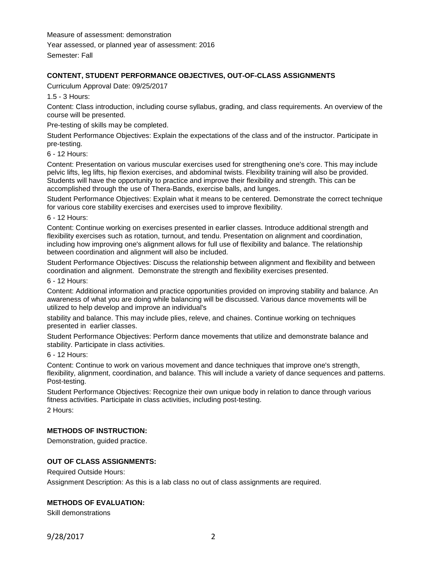Measure of assessment: demonstration

Year assessed, or planned year of assessment: 2016

Semester: Fall

## **CONTENT, STUDENT PERFORMANCE OBJECTIVES, OUT-OF-CLASS ASSIGNMENTS**

Curriculum Approval Date: 09/25/2017

1.5 - 3 Hours:

Content: Class introduction, including course syllabus, grading, and class requirements. An overview of the course will be presented.

Pre-testing of skills may be completed.

Student Performance Objectives: Explain the expectations of the class and of the instructor. Participate in pre-testing.

6 - 12 Hours:

Content: Presentation on various muscular exercises used for strengthening one's core. This may include pelvic lifts, leg lifts, hip flexion exercises, and abdominal twists. Flexibility training will also be provided. Students will have the opportunity to practice and improve their flexibility and strength. This can be accomplished through the use of Thera-Bands, exercise balls, and lunges.

Student Performance Objectives: Explain what it means to be centered. Demonstrate the correct technique for various core stability exercises and exercises used to improve flexibility.

6 - 12 Hours:

Content: Continue working on exercises presented in earlier classes. Introduce additional strength and flexibility exercises such as rotation, turnout, and tendu. Presentation on alignment and coordination, including how improving one's alignment allows for full use of flexibility and balance. The relationship between coordination and alignment will also be included.

Student Performance Objectives: Discuss the relationship between alignment and flexibility and between coordination and alignment. Demonstrate the strength and flexibility exercises presented.

6 - 12 Hours:

Content: Additional information and practice opportunities provided on improving stability and balance. An awareness of what you are doing while balancing will be discussed. Various dance movements will be utilized to help develop and improve an individual's

stability and balance. This may include plies, releve, and chaines. Continue working on techniques presented in earlier classes.

Student Performance Objectives: Perform dance movements that utilize and demonstrate balance and stability. Participate in class activities.

6 - 12 Hours:

Content: Continue to work on various movement and dance techniques that improve one's strength, flexibility, alignment, coordination, and balance. This will include a variety of dance sequences and patterns. Post-testing.

Student Performance Objectives: Recognize their own unique body in relation to dance through various fitness activities. Participate in class activities, including post-testing.

2 Hours:

### **METHODS OF INSTRUCTION:**

Demonstration, guided practice.

### **OUT OF CLASS ASSIGNMENTS:**

Required Outside Hours:

Assignment Description: As this is a lab class no out of class assignments are required.

### **METHODS OF EVALUATION:**

Skill demonstrations

9/28/2017 2